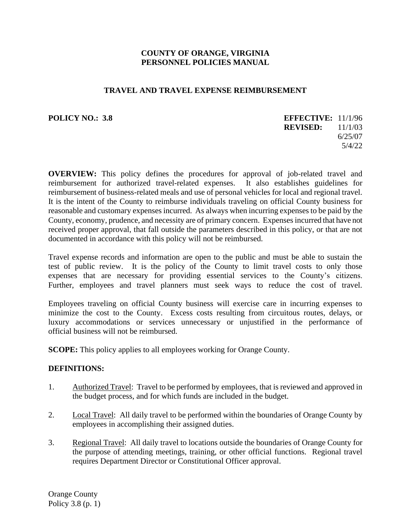### **COUNTY OF ORANGE, VIRGINIA PERSONNEL POLICIES MANUAL**

#### **TRAVEL AND TRAVEL EXPENSE REIMBURSEMENT**

**POLICY NO.: 3.8** 

| <b>EFFECTIVE: 11/1/96</b> |         |
|---------------------------|---------|
| <b>REVISED:</b>           | 11/1/03 |
|                           | 6/25/07 |
|                           | 5/4/22  |

**OVERVIEW:** This policy defines the procedures for approval of job-related travel and reimbursement for authorized travel-related expenses. It also establishes guidelines for reimbursement of business-related meals and use of personal vehicles for local and regional travel. It is the intent of the County to reimburse individuals traveling on official County business for reasonable and customary expenses incurred. As always when incurring expenses to be paid by the County, economy, prudence, and necessity are of primary concern. Expenses incurred that have not received proper approval, that fall outside the parameters described in this policy, or that are not documented in accordance with this policy will not be reimbursed.

Travel expense records and information are open to the public and must be able to sustain the test of public review. It is the policy of the County to limit travel costs to only those expenses that are necessary for providing essential services to the County's citizens. Further, employees and travel planners must seek ways to reduce the cost of travel.

Employees traveling on official County business will exercise care in incurring expenses to minimize the cost to the County. Excess costs resulting from circuitous routes, delays, or luxury accommodations or services unnecessary or unjustified in the performance of official business will not be reimbursed.

**SCOPE:** This policy applies to all employees working for Orange County.

### **DEFINITIONS:**

- 1. Authorized Travel: Travel to be performed by employees, that is reviewed and approved in the budget process, and for which funds are included in the budget.
- 2. Local Travel: All daily travel to be performed within the boundaries of Orange County by employees in accomplishing their assigned duties.
- 3. Regional Travel: All daily travel to locations outside the boundaries of Orange County for the purpose of attending meetings, training, or other official functions. Regional travel requires Department Director or Constitutional Officer approval.

Orange County Policy 3.8 (p. 1)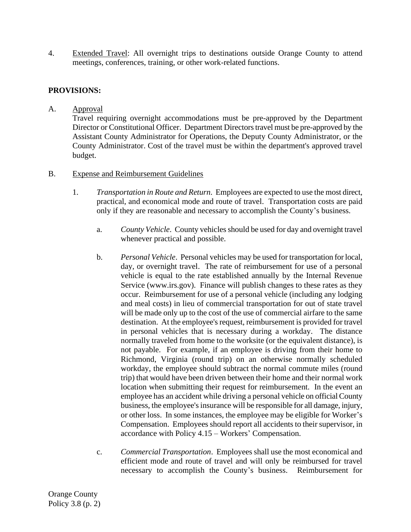4. Extended Travel: All overnight trips to destinations outside Orange County to attend meetings, conferences, training, or other work-related functions.

# **PROVISIONS:**

A. Approval

Travel requiring overnight accommodations must be pre-approved by the Department Director or Constitutional Officer. Department Directors travel must be pre-approved by the Assistant County Administrator for Operations, the Deputy County Administrator, or the County Administrator. Cost of the travel must be within the department's approved travel budget.

- B. Expense and Reimbursement Guidelines
	- 1. *Transportation in Route and Return*. Employees are expected to use the most direct, practical, and economical mode and route of travel. Transportation costs are paid only if they are reasonable and necessary to accomplish the County's business.
		- a. *County Vehicle*. County vehicles should be used for day and overnight travel whenever practical and possible.
		- b. *Personal Vehicle*. Personal vehicles may be used for transportation for local, day, or overnight travel. The rate of reimbursement for use of a personal vehicle is equal to the rate established annually by the Internal Revenue Service (www.irs.gov). Finance will publish changes to these rates as they occur. Reimbursement for use of a personal vehicle (including any lodging and meal costs) in lieu of commercial transportation for out of state travel will be made only up to the cost of the use of commercial airfare to the same destination. At the employee's request, reimbursement is provided for travel in personal vehicles that is necessary during a workday. The distance normally traveled from home to the worksite (or the equivalent distance), is not payable. For example, if an employee is driving from their home to Richmond, Virginia (round trip) on an otherwise normally scheduled workday, the employee should subtract the normal commute miles (round trip) that would have been driven between their home and their normal work location when submitting their request for reimbursement. In the event an employee has an accident while driving a personal vehicle on official County business, the employee's insurance will be responsible for all damage, injury, or other loss. In some instances, the employee may be eligible for Worker's Compensation. Employees should report all accidents to their supervisor, in accordance with Policy 4.15 – Workers' Compensation.
		- c. *Commercial Transportation*. Employees shall use the most economical and efficient mode and route of travel and will only be reimbursed for travel necessary to accomplish the County's business. Reimbursement for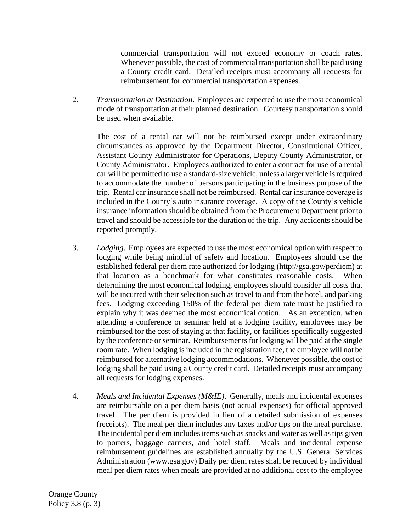commercial transportation will not exceed economy or coach rates. Whenever possible, the cost of commercial transportation shall be paid using a County credit card. Detailed receipts must accompany all requests for reimbursement for commercial transportation expenses.

2. *Transportation at Destination*. Employees are expected to use the most economical mode of transportation at their planned destination. Courtesy transportation should be used when available.

The cost of a rental car will not be reimbursed except under extraordinary circumstances as approved by the Department Director, Constitutional Officer, Assistant County Administrator for Operations, Deputy County Administrator, or County Administrator. Employees authorized to enter a contract for use of a rental car will be permitted to use a standard-size vehicle, unless a larger vehicle is required to accommodate the number of persons participating in the business purpose of the trip. Rental car insurance shall not be reimbursed. Rental car insurance coverage is included in the County's auto insurance coverage. A copy of the County's vehicle insurance information should be obtained from the Procurement Department prior to travel and should be accessible for the duration of the trip. Any accidents should be reported promptly.

- 3. *Lodging*. Employees are expected to use the most economical option with respect to lodging while being mindful of safety and location. Employees should use the established federal per diem rate authorized for lodging (http://gsa.gov/perdiem) at that location as a benchmark for what constitutes reasonable costs. When determining the most economical lodging, employees should consider all costs that will be incurred with their selection such as travel to and from the hotel, and parking fees. Lodging exceeding 150% of the federal per diem rate must be justified to explain why it was deemed the most economical option. As an exception, when attending a conference or seminar held at a lodging facility, employees may be reimbursed for the cost of staying at that facility, or facilities specifically suggested by the conference or seminar. Reimbursements for lodging will be paid at the single room rate. When lodging is included in the registration fee, the employee will not be reimbursed for alternative lodging accommodations. Whenever possible, the cost of lodging shall be paid using a County credit card. Detailed receipts must accompany all requests for lodging expenses.
- 4. *Meals and Incidental Expenses (M&IE)*. Generally, meals and incidental expenses are reimbursable on a per diem basis (not actual expenses) for official approved travel. The per diem is provided in lieu of a detailed submission of expenses (receipts). The meal per diem includes any taxes and/or tips on the meal purchase. The incidental per diem includes items such as snacks and water as well as tips given to porters, baggage carriers, and hotel staff. Meals and incidental expense reimbursement guidelines are established annually by the U.S. General Services Administration (www.gsa.gov) Daily per diem rates shall be reduced by individual meal per diem rates when meals are provided at no additional cost to the employee

Orange County Policy 3.8 (p. 3)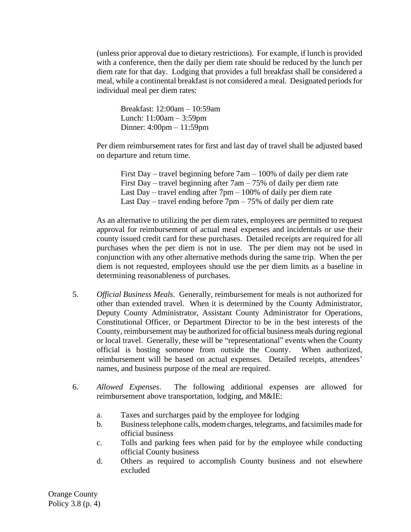(unless prior approval due to dietary restrictions). For example, if lunch is provided with a conference, then the daily per diem rate should be reduced by the lunch per diem rate for that day. Lodging that provides a full breakfast shall be considered a meal, while a continental breakfast is not considered a meal. Designated periods for individual meal per diem rates:

Breakfast: 12:00am – 10:59am Lunch: 11:00am – 3:59pm Dinner: 4:00pm – 11:59pm

Per diem reimbursement rates for first and last day of travel shall be adjusted based on departure and return time.

First Day – travel beginning before 7am – 100% of daily per diem rate First Day – travel beginning after 7am – 75% of daily per diem rate Last Day – travel ending after  $7 \text{pm} - 100\%$  of daily per diem rate Last Day – travel ending before  $7 \text{pm} - 75\%$  of daily per diem rate

As an alternative to utilizing the per diem rates, employees are permitted to request approval for reimbursement of actual meal expenses and incidentals or use their county issued credit card for these purchases. Detailed receipts are required for all purchases when the per diem is not in use. The per diem may not be used in conjunction with any other alternative methods during the same trip. When the per diem is not requested, employees should use the per diem limits as a baseline in determining reasonableness of purchases.

- 5. *Official Business Meals*. Generally, reimbursement for meals is not authorized for other than extended travel. When it is determined by the County Administrator, Deputy County Administrator, Assistant County Administrator for Operations, Constitutional Officer, or Department Director to be in the best interests of the County, reimbursement may be authorized for official business meals during regional or local travel. Generally, these will be "representational" events when the County official is hosting someone from outside the County. When authorized, reimbursement will be based on actual expenses. Detailed receipts, attendees' names, and business purpose of the meal are required.
- 6. *Allowed Expenses*. The following additional expenses are allowed for reimbursement above transportation, lodging, and M&IE:
	- a. Taxes and surcharges paid by the employee for lodging
	- b. Business telephone calls, modem charges, telegrams, and facsimiles made for official business
	- c. Tolls and parking fees when paid for by the employee while conducting official County business
	- d. Others as required to accomplish County business and not elsewhere excluded

Orange County Policy 3.8 (p. 4)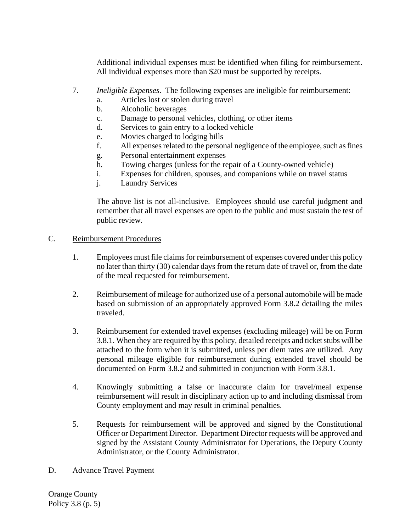Additional individual expenses must be identified when filing for reimbursement. All individual expenses more than \$20 must be supported by receipts.

- 7. *Ineligible Expenses*. The following expenses are ineligible for reimbursement:
	- a. Articles lost or stolen during travel
	- b. Alcoholic beverages
	- c. Damage to personal vehicles, clothing, or other items
	- d. Services to gain entry to a locked vehicle
	- e. Movies charged to lodging bills
	- f. All expenses related to the personal negligence of the employee, such as fines
	- g. Personal entertainment expenses
	- h. Towing charges (unless for the repair of a County-owned vehicle)
	- i. Expenses for children, spouses, and companions while on travel status
	- j. Laundry Services

The above list is not all-inclusive. Employees should use careful judgment and remember that all travel expenses are open to the public and must sustain the test of public review.

### C. Reimbursement Procedures

- 1. Employees must file claimsfor reimbursement of expenses covered under this policy no later than thirty (30) calendar days from the return date of travel or, from the date of the meal requested for reimbursement.
- 2. Reimbursement of mileage for authorized use of a personal automobile will be made based on submission of an appropriately approved Form 3.8.2 detailing the miles traveled.
- 3. Reimbursement for extended travel expenses (excluding mileage) will be on Form 3.8.1. When they are required by this policy, detailed receipts and ticket stubs will be attached to the form when it is submitted, unless per diem rates are utilized. Any personal mileage eligible for reimbursement during extended travel should be documented on Form 3.8.2 and submitted in conjunction with Form 3.8.1.
- 4. Knowingly submitting a false or inaccurate claim for travel/meal expense reimbursement will result in disciplinary action up to and including dismissal from County employment and may result in criminal penalties.
- 5. Requests for reimbursement will be approved and signed by the Constitutional Officer or Department Director. Department Director requests will be approved and signed by the Assistant County Administrator for Operations, the Deputy County Administrator, or the County Administrator.

# D. Advance Travel Payment

Orange County Policy 3.8 (p. 5)